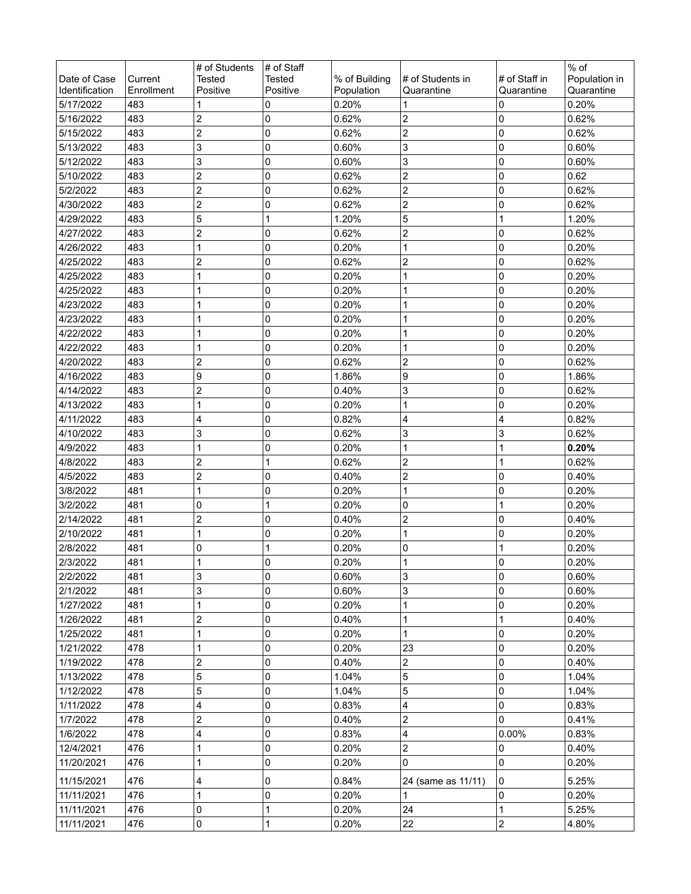|                                |                       | # of Students             | # of Staff                |                             |                                |                             | % of                        |
|--------------------------------|-----------------------|---------------------------|---------------------------|-----------------------------|--------------------------------|-----------------------------|-----------------------------|
| Date of Case<br>Identification | Current<br>Enrollment | <b>Tested</b><br>Positive | <b>Tested</b><br>Positive | % of Building<br>Population | # of Students in<br>Quarantine | # of Staff in<br>Quarantine | Population in<br>Quarantine |
| 5/17/2022                      | 483                   | 1                         | 0                         | 0.20%                       |                                | 0                           | 0.20%                       |
| 5/16/2022                      | 483                   | $\overline{\mathbf{c}}$   | 0                         | 0.62%                       | 2                              | 0                           | 0.62%                       |
| 5/15/2022                      | 483                   | $\overline{\mathbf{c}}$   | 0                         | 0.62%                       | 2                              | 0                           | 0.62%                       |
| 5/13/2022                      | 483                   | 3                         | 0                         | 0.60%                       | 3                              | 0                           | 0.60%                       |
| 5/12/2022                      | 483                   | 3                         | 0                         | 0.60%                       | 3                              | 0                           | 0.60%                       |
| 5/10/2022                      | 483                   | $\overline{\mathbf{c}}$   | 0                         | 0.62%                       | $\overline{c}$                 | 0                           | 0.62                        |
| 5/2/2022                       | 483                   | $\overline{c}$            | 0                         | 0.62%                       | $\overline{c}$                 | 0                           | 0.62%                       |
| 4/30/2022                      | 483                   | $\overline{\mathbf{c}}$   | 0                         | 0.62%                       | 2                              | 0                           | 0.62%                       |
| 4/29/2022                      | 483                   | 5                         | 1                         | 1.20%                       | 5                              | 1                           | 1.20%                       |
| 4/27/2022                      | 483                   | 2                         | 0                         | 0.62%                       | 2                              | 0                           | 0.62%                       |
| 4/26/2022                      | 483                   | 1                         | 0                         | 0.20%                       | 1                              | 0                           | 0.20%                       |
| 4/25/2022                      | 483                   | 2                         | 0                         | 0.62%                       | 2                              | 0                           | 0.62%                       |
| 4/25/2022                      | 483                   | 1                         | 0                         | 0.20%                       |                                | 0                           | 0.20%                       |
| 4/25/2022                      | 483                   | 1                         | 0                         | 0.20%                       |                                | 0                           | 0.20%                       |
| 4/23/2022                      | 483                   | 1                         | 0                         | 0.20%                       | 1                              | 0                           | 0.20%                       |
| 4/23/2022                      | 483                   | 1                         | 0                         | 0.20%                       | 1                              | 0                           | 0.20%                       |
| 4/22/2022                      | 483                   | 1                         | 0                         | 0.20%                       |                                | 0                           | 0.20%                       |
| 4/22/2022                      | 483                   | 1                         | 0                         | 0.20%                       |                                | 0                           | 0.20%                       |
| 4/20/2022                      | 483                   | 2                         | 0                         | 0.62%                       | 2                              | 0                           | 0.62%                       |
| 4/16/2022                      | 483                   | 9                         | 0                         | 1.86%                       | 9                              | 0                           | 1.86%                       |
| 4/14/2022                      | 483                   | 2                         | 0                         | 0.40%                       | 3                              | 0                           | 0.62%                       |
| 4/13/2022                      | 483                   | 1                         | 0                         | 0.20%                       | 1                              | 0                           | 0.20%                       |
| 4/11/2022                      | 483                   | 4                         | 0                         | 0.82%                       | 4                              | 4                           | 0.82%                       |
| 4/10/2022                      | 483                   | 3                         | 0                         | 0.62%                       | 3                              | 3                           | 0.62%                       |
| 4/9/2022                       | 483                   | 1                         | 0                         | 0.20%                       | 1                              | 1                           | 0.20%                       |
| 4/8/2022                       | 483                   | $\overline{\mathbf{c}}$   | 1                         | 0.62%                       | 2                              | 1                           | 0.62%                       |
| 4/5/2022                       | 483                   | $\overline{c}$            | 0                         | 0.40%                       | $\overline{c}$                 | 0                           | 0.40%                       |
| 3/8/2022                       | 481                   | 1                         | 0                         | 0.20%                       | 1                              | 0                           | 0.20%                       |
| 3/2/2022                       | 481                   | 0                         | 1                         | 0.20%                       | 0                              | 1                           | 0.20%                       |
| 2/14/2022                      | 481                   | 2                         | 0                         | 0.40%                       | 2                              | 0                           | 0.40%                       |
| 2/10/2022                      | 481                   | 1                         | 0                         | 0.20%                       | 1                              | 0                           | 0.20%                       |
| 2/8/2022                       | 481                   | 0                         | 1                         | 0.20%                       | 0                              |                             | 0.20%                       |
| 2/3/2022                       | 481                   | 1                         | 0                         | 0.20%                       |                                | $\mathbf 0$                 | 0.20%                       |
| 2/2/2022                       | 481                   | 3                         | 0                         | 0.60%                       | 3                              | 0                           | 0.60%                       |
| 2/1/2022                       | 481                   | 3                         | 0                         | 0.60%                       | 3                              | 0                           | 0.60%                       |
| 1/27/2022                      | 481                   | 1                         | 0                         | 0.20%                       | 1                              | 0                           | 0.20%                       |
| 1/26/2022                      | 481                   | 2                         | 0                         | 0.40%                       | 1                              | 1                           | 0.40%                       |
| 1/25/2022                      | 481                   | 1                         | 0                         | 0.20%                       | 1                              | 0                           | 0.20%                       |
| 1/21/2022                      | 478                   | 1                         | 0                         | 0.20%                       | 23                             | 0                           | 0.20%                       |
| 1/19/2022                      | 478                   | $\overline{c}$            | 0                         | 0.40%                       | 2                              | 0                           | 0.40%                       |
| 1/13/2022                      | 478                   | 5                         | 0                         | 1.04%                       | 5                              | 0                           | 1.04%                       |
| 1/12/2022                      | 478                   | 5                         | 0                         | 1.04%                       | 5                              | 0                           | 1.04%                       |
| 1/11/2022                      | 478                   | 4                         | 0                         | 0.83%                       | 4                              | 0                           | 0.83%                       |
| 1/7/2022                       | 478                   | 2                         | 0                         | 0.40%                       | 2                              | 0                           | 0.41%                       |
| 1/6/2022                       | 478                   | 4                         | 0                         | 0.83%                       | 4                              | 0.00%                       | 0.83%                       |
| 12/4/2021                      | 476                   | 1                         | 0                         | 0.20%                       | 2                              | 0                           | 0.40%                       |
| 11/20/2021                     | 476                   | 1                         | 0                         | 0.20%                       | 0                              | 0                           | 0.20%                       |
| 11/15/2021                     | 476                   | 4                         | 0                         | 0.84%                       | 24 (same as 11/11)             | 0                           | 5.25%                       |
| 11/11/2021                     | 476                   | 1                         | 0                         | 0.20%                       |                                | 0                           | 0.20%                       |
| 11/11/2021                     | 476                   | 0                         | 1                         | 0.20%                       | 24                             | 1                           | 5.25%                       |
| 11/11/2021                     | 476                   | 0                         | 1                         | 0.20%                       | 22                             | $\overline{\mathbf{c}}$     | 4.80%                       |